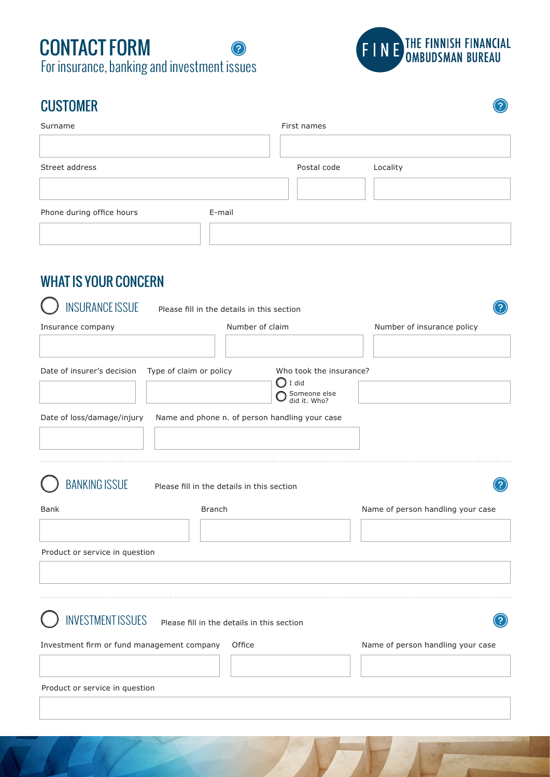# CONTACT FORM For insurance, banking and investment issues



 $\odot$ 

### **CUSTOMER**

| Surname                   |        | First names |          |  |
|---------------------------|--------|-------------|----------|--|
| Street address            |        | Postal code | Locality |  |
|                           |        |             |          |  |
| Phone during office hours | E-mail |             |          |  |

## WHAT IS YOUR CONCERN

 $\sim$ 

| Insurance company                                                            | Number of claim                                |                                                                             | Number of insurance policy        |  |  |
|------------------------------------------------------------------------------|------------------------------------------------|-----------------------------------------------------------------------------|-----------------------------------|--|--|
| Date of insurer's decision                                                   | Type of claim or policy                        | Who took the insurance?<br>$\bigcirc$ I did<br>Someone else<br>did it. Who? |                                   |  |  |
| Date of loss/damage/injury                                                   | Name and phone n. of person handling your case |                                                                             |                                   |  |  |
| <b>BANKING ISSUE</b>                                                         | Please fill in the details in this section     |                                                                             |                                   |  |  |
| Bank                                                                         | <b>Branch</b>                                  |                                                                             | Name of person handling your case |  |  |
|                                                                              |                                                |                                                                             |                                   |  |  |
| Product or service in question                                               |                                                |                                                                             |                                   |  |  |
|                                                                              |                                                |                                                                             |                                   |  |  |
|                                                                              |                                                |                                                                             |                                   |  |  |
| <b>INVESTMENT ISSUES</b>                                                     | Please fill in the details in this section     |                                                                             |                                   |  |  |
|                                                                              |                                                |                                                                             | Name of person handling your case |  |  |
|                                                                              | Office                                         |                                                                             |                                   |  |  |
|                                                                              |                                                |                                                                             |                                   |  |  |
| Investment firm or fund management company<br>Product or service in question |                                                |                                                                             |                                   |  |  |